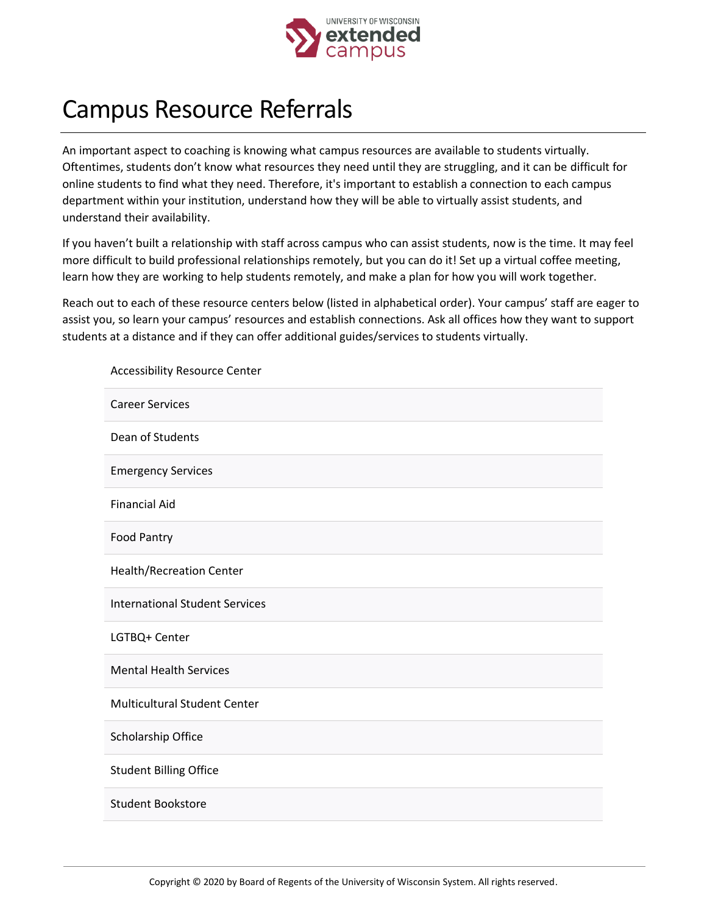

## Campus Resource Referrals

An important aspect to coaching is knowing what campus resources are available to students virtually. Oftentimes, students don't know what resources they need until they are struggling, and it can be difficult for online students to find what they need. Therefore, it's important to establish a connection to each campus department within your institution, understand how they will be able to virtually assist students, and understand their availability.

If you haven't built a relationship with staff across campus who can assist students, now is the time. It may feel more difficult to build professional relationships remotely, but you can do it! Set up a virtual coffee meeting, learn how they are working to help students remotely, and make a plan for how you will work together.

Reach out to each of these resource centers below (listed in alphabetical order). Your campus' staff are eager to assist you, so learn your campus' resources and establish connections. Ask all offices how they want to support students at a distance and if they can offer additional guides/services to students virtually.

| <b>Accessibility Resource Center</b>  |
|---------------------------------------|
| <b>Career Services</b>                |
| Dean of Students                      |
| <b>Emergency Services</b>             |
| <b>Financial Aid</b>                  |
| Food Pantry                           |
| Health/Recreation Center              |
| <b>International Student Services</b> |
| LGTBQ+ Center                         |
| <b>Mental Health Services</b>         |
| <b>Multicultural Student Center</b>   |
| Scholarship Office                    |
| <b>Student Billing Office</b>         |
| <b>Student Bookstore</b>              |
|                                       |